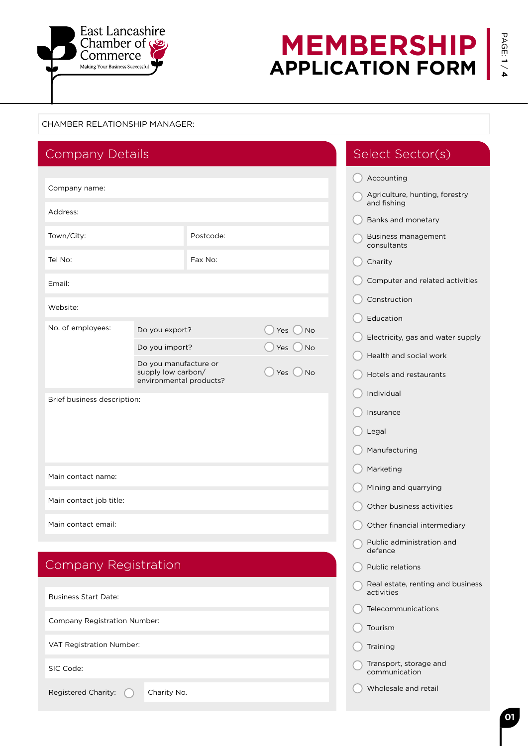

# **MEMBERSHIP APPLICATION FORM**

### CHAMBER RELATIONSHIP MANAGER:

|                                                                   | Accounting                                      |
|-------------------------------------------------------------------|-------------------------------------------------|
| Company name:                                                     | Agriculture, hunting, forestry<br>and fishing   |
| Address:                                                          | Banks and monetary                              |
| Town/City:<br>Postcode:                                           | <b>Business management</b><br>consultants       |
| Tel No:<br>Fax No:                                                | Charity                                         |
| Email:                                                            | Computer and related activities                 |
| Website:                                                          | Construction                                    |
| No. of employees:                                                 | Education                                       |
| Do you export?<br>Yes<br><b>No</b>                                | Electricity, gas and water supply               |
| Do you import?<br><b>No</b><br>Yes<br>Do you manufacture or       | Health and social work                          |
| supply low carbon/<br>Yes<br><b>No</b><br>environmental products? | Hotels and restaurants                          |
| Brief business description:                                       | Individual                                      |
|                                                                   | Insurance                                       |
|                                                                   | Legal                                           |
|                                                                   | Manufacturing                                   |
| Main contact name:                                                | Marketing                                       |
|                                                                   | Mining and quarrying                            |
| Main contact job title:                                           | Other business activities                       |
| Main contact email:                                               | Other financial intermediary                    |
|                                                                   | Public administration and<br>defence            |
| <b>Company Registration</b>                                       | <b>Public relations</b>                         |
| <b>Business Start Date:</b>                                       | Real estate, renting and business<br>activities |
|                                                                   | Telecommunications                              |
| <b>Company Registration Number:</b>                               | Tourism                                         |
| VAT Registration Number:                                          | Training                                        |
| SIC Code:                                                         | Transport, storage and<br>communication         |
| Registered Charity:<br>Charity No.                                | Wholesale and retail                            |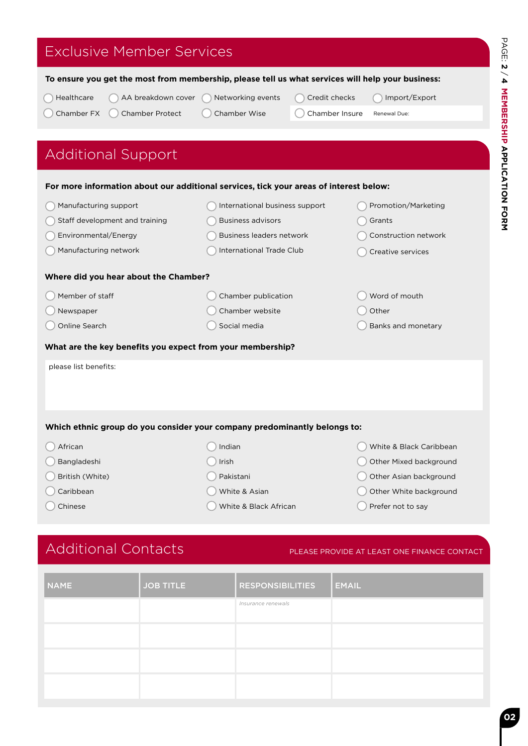# Exclusive Member Services

 $\overline{\phantom{a}}$ 

| AA breakdown cover<br>Healthcare                                                       | Networking events               | Credit checks  | Import/Export           |
|----------------------------------------------------------------------------------------|---------------------------------|----------------|-------------------------|
| Chamber FX<br><b>Chamber Protect</b>                                                   | <b>Chamber Wise</b>             | Chamber Insure | Renewal Due:            |
|                                                                                        |                                 |                |                         |
| <b>Additional Support</b>                                                              |                                 |                |                         |
| For more information about our additional services, tick your areas of interest below: |                                 |                |                         |
| Manufacturing support                                                                  | International business support  |                | Promotion/Marketing     |
| Staff development and training                                                         | <b>Business advisors</b>        |                | Grants                  |
| Environmental/Energy                                                                   | <b>Business leaders network</b> |                | Construction network    |
| Manufacturing network                                                                  | <b>International Trade Club</b> |                | Creative services       |
| Where did you hear about the Chamber?                                                  |                                 |                |                         |
| Member of staff                                                                        | Chamber publication             |                | Word of mouth           |
| Newspaper                                                                              | Chamber website                 |                | Other                   |
| Online Search                                                                          | Social media                    |                | Banks and monetary      |
| What are the key benefits you expect from your membership?                             |                                 |                |                         |
| please list benefits:                                                                  |                                 |                |                         |
|                                                                                        |                                 |                |                         |
|                                                                                        |                                 |                |                         |
| Which ethnic group do you consider your company predominantly belongs to:              |                                 |                |                         |
| African                                                                                | Indian                          |                | White & Black Caribbean |
| Bangladeshi                                                                            | Irish                           |                | Other Mixed background  |
| British (White)                                                                        | Pakistani                       |                | Other Asian background  |
| Caribbean                                                                              | White & Asian                   |                | Other White background  |
| Chinese                                                                                | White & Black African           |                | Prefer not to say       |

**To ensure you get the most from membership, please tell us what services will help your business:** 

# Additional Contacts PLEASE PROVIDE AT LEAST ONE FINANCE CONTACT

| <b>NAME</b> | <b>JOB TITLE</b> | <b>RESPONSIBILITIES</b> | <b>EMAIL</b> |
|-------------|------------------|-------------------------|--------------|
|             |                  | Insurance renewals      |              |
|             |                  |                         |              |
|             |                  |                         |              |
|             |                  |                         |              |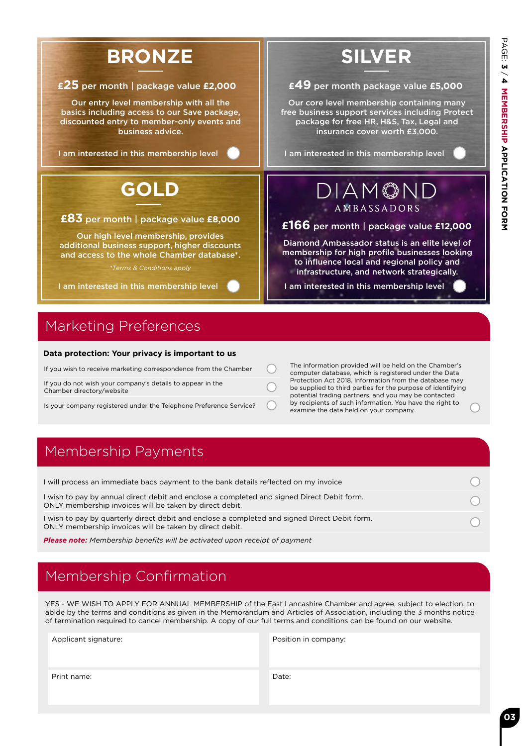

# Marketing Preferences

#### **Data protection: Your privacy is important to us**

| If you wish to receive marketing correspondence from the Chamber                        |  |
|-----------------------------------------------------------------------------------------|--|
| If you do not wish your company's details to appear in the<br>Chamber directory/website |  |

Is your company registered under the Telephone Preference Service?

The information provided will be held on the Chamber's computer database, which is registered under the Data Protection Act 2018. Information from the database may be supplied to third parties for the purpose of identifying potential trading partners, and you may be contacted by recipients of such information. You have the right to examine the data held on your company.

# Membership Payments

| I will process an immediate bacs payment to the bank details reflected on my invoice                                                                     |  |
|----------------------------------------------------------------------------------------------------------------------------------------------------------|--|
| I wish to pay by annual direct debit and enclose a completed and signed Direct Debit form.<br>ONLY membership invoices will be taken by direct debit.    |  |
| I wish to pay by quarterly direct debit and enclose a completed and signed Direct Debit form.<br>ONLY membership invoices will be taken by direct debit. |  |

*Please note: Membership benefits will be activated upon receipt of payment*

# Membership Confirmation

YES - WE WISH TO APPLY FOR ANNUAL MEMBERSHIP of the East Lancashire Chamber and agree, subject to election, to abide by the terms and conditions as given in the Memorandum and Articles of Association, including the 3 months notice of termination required to cancel membership. A copy of our full terms and conditions can be found on our website.

| Applicant signature: | Position in company: |
|----------------------|----------------------|
| Print name:          | Date:                |